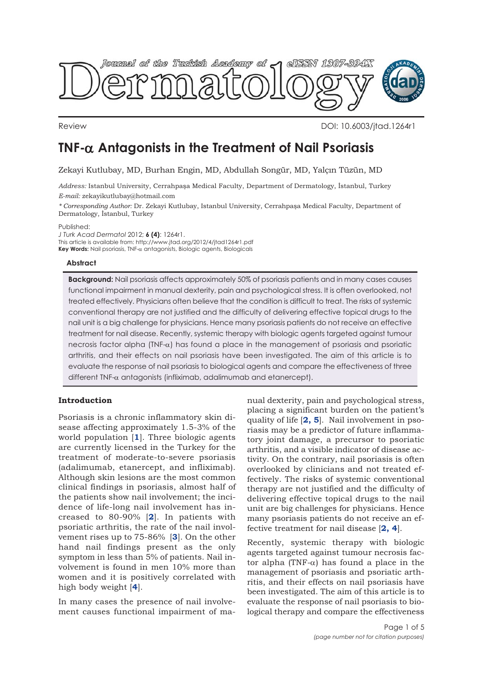

Review DOI: 10.6003/jtad.1264r1

# **TNF-**α **Antagonists in the Treatment of Nail Psoriasis**

Zekayi Kutlubay, MD, Burhan Engin, MD, Abdullah Songür, MD, Yalçın Tüzün, MD

*Address:* Istanbul University, Cerrahpaşa Medical Faculty, Department of Dermatology, İstanbul, Turkey *E-mail:* zekayikutlubay@hotmail.com

*\* Corresponding Author:* Dr. Zekayi Kutlubay, Istanbul University, Cerrahpaşa Medical Faculty, Department of Dermatology, İstanbul, Turkey

Published:

*J Turk Acad Dermatol* 2012; **6 (4)**: 1264r1. This article is available from: http://www.jtad.org/2012/4/jtad1264r1.pdf **Key Words:** Nail psoriasis, TNF-α antagonists, Biologic agents, Biologicals

## **Abstract**

**Background:** Nail psoriasis affects approximately 50% of psoriasis patients and in many cases causes functional impairment in manual dexterity, pain and psychological stress. It is often overlooked, not treated effectively. Physicians often believe that the condition is difficult to treat. The risks of systemic conventional therapy are not justified and the difficulty of delivering effective topical drugs to the nail unit is a big challenge for physicians. Hence many psoriasis patients do not receive an effective treatment for nail disease. Recently, systemic therapy with biologic agents targeted against tumour necrosis factor alpha (TNF-α) has found a place in the management of psoriasis and psoriatic arthritis, and their effects on nail psoriasis have been investigated. The aim of this article is to evaluate the response of nail psoriasis to biological agents and compare the effectiveness of three different TNF-α antagonists (infliximab, adalimumab and etanercept).

# **Introduction**

Psoriasis is a chronic inflammatory skin disease affecting approximately 1.5-3% of the world population [**[1](#page-4-0)**]. Three biologic agents are currently licensed in the Turkey for the treatment of moderate-to-severe psoriasis (adalimumab, etanercept, and infliximab). Although skin lesions are the most common clinical findings in psoriasis, almost half of the patients show nail involvement; the incidence of life-long nail involvement has increased to 80-90% [**[2](#page-4-0)**]. In patients with psoriatic arthritis, the rate of the nail involvement rises up to 75-86% [**[3](#page-4-0)**]. On the other hand nail findings present as the only symptom in less than 5% of patients. Nail involvement is found in men 10% more than women and it is positively correlated with high body weight [**[4](#page-4-0)**].

In many cases the presence of nail involvement causes functional impairment of manual dexterity, pain and psychological stress, placing a significant burden on the patient's quality of life [**[2, 5](#page-4-0)**]. Nail involvement in psoriasis may be a predictor of future inflammatory joint damage, a precursor to psoriatic arthritis, and a visible indicator of disease activity. On the contrary, nail psoriasis is often overlooked by clinicians and not treated effectively. The risks of systemic conventional therapy are not justified and the difficulty of delivering effective topical drugs to the nail unit are big challenges for physicians. Hence many psoriasis patients do not receive an effective treatment for nail disease [**[2, 4](#page-4-0)**].

Recently, systemic therapy with biologic agents targeted against tumour necrosis factor alpha (TNF-α) has found a place in the management of psoriasis and psoriatic arthritis, and their effects on nail psoriasis have been investigated. The aim of this article is to evaluate the response of nail psoriasis to biological therapy and compare the effectiveness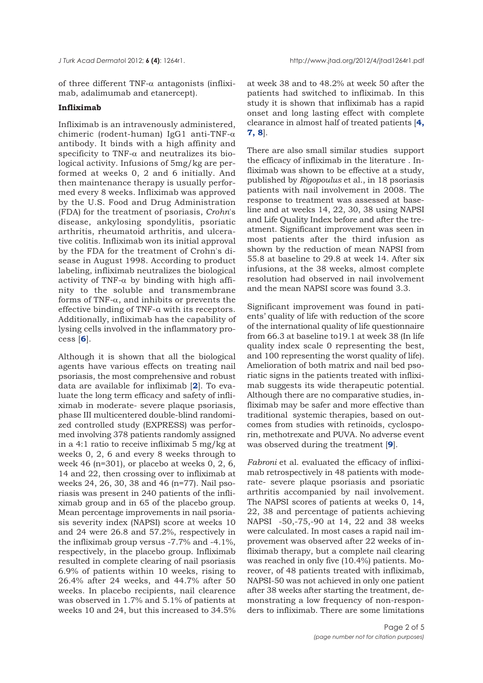of three different TNF- $\alpha$  antagonists (infliximab, adalimumab and etanercept).

## **Infliximab**

Infliximab is an intravenously administered, chimeric (rodent-human) IgG1 anti-TNF-α antibody. It binds with a high affinity and specificity to TNF- $\alpha$  and neutralizes its biological activity. Infusions of 5mg/kg are performed at weeks 0, 2 and 6 initially. And then maintenance therapy is usually performed every 8 weeks. Infliximab was approved by the U.S. Food and Drug Administration (FDA) for the treatment of psoriasis, *Crohn*'s disease, ankylosing spondylitis, psoriatic arthritis, rheumatoid arthritis, and ulcerative colitis. Infliximab won its initial approval by the FDA for the treatment of Crohn's disease in August 1998. According to product labeling, infliximab neutralizes the biological activity of TNF- $\alpha$  by binding with high affinity to the soluble and transmembrane forms of TNF-α, and inhibits or prevents the effective binding of TNF-α with its receptors. Additionally, infliximab has the capability of lysing cells involved in the inflammatory process [**[6](#page-4-0)**].

Although it is shown that all the biological agents have various effects on treating nail psoriasis, the most comprehensive and robust data are available for infliximab [**[2](#page-4-0)**]. To evaluate the long term efficacy and safety of infliximab in moderate- severe plaque psoriasis, phase III multicentered double-blind randomized controlled study (EXPRESS) was performed involving 378 patients randomly assigned in a 4:1 ratio to receive infliximab 5 mg/kg at weeks 0, 2, 6 and every 8 weeks through to week 46 (n=301), or placebo at weeks 0, 2, 6, 14 and 22, then crossing over to infliximab at weeks 24, 26, 30, 38 and 46 (n=77). Nail psoriasis was present in 240 patients of the infliximab group and in 65 of the placebo group. Mean percentage improvements in nail psoriasis severity index (NAPSI) score at weeks 10 and 24 were 26.8 and 57.2%, respectively in the infliximab group versus -7.7% and -4.1%, respectively, in the placebo group. Infliximab resulted in complete clearing of nail psoriasis 6.9% of patients within 10 weeks, rising to 26.4% after 24 weeks, and 44.7% after 50 weeks. In placebo recipients, nail clearence was observed in 1.7% and 5.1% of patients at weeks 10 and 24, but this increased to 34.5%

at week 38 and to 48.2% at week 50 after the patients had switched to infliximab. In this study it is shown that infliximab has a rapid onset and long lasting effect with complete clearance in almost half of treated patients [**[4,](#page-4-0) [7, 8](#page-4-0)**].

There are also small similar studies support the efficacy of infliximab in the literature . Infliximab was shown to be effective at a study, published by *Rigopoulus* et al., in 18 psoriasis patients with nail involvement in 2008. The response to treatment was assessed at baseline and at weeks 14, 22, 30, 38 using NAPSI and Life Quality Index before and after the treatment. Significant improvement was seen in most patients after the third infusion as shown by the reduction of mean NAPSI from 55.8 at baseline to 29.8 at week 14. After six infusions, at the 38 weeks, almost complete resolution had observed in nail involvement and the mean NAPSI score was found 3.3.

Significant improvement was found in patients' quality of life with reduction of the score of the international quality of life questionnaire from 66.3 at baseline to19.1 at week 38 (In life quality index scale 0 representing the best, and 100 representing the worst quality of life). Amelioration of both matrix and nail bed psoriatic signs in the patients treated with infliximab suggests its wide therapeutic potential. Although there are no comparative studies, infliximab may be safer and more effective than traditional systemic therapies, based on outcomes from studies with retinoids, cyclosporin, methotrexate and PUVA. No adverse event was observed during the treatment [**[9](#page-4-0)**].

*Fabroni* et al. evaluated the efficacy of infliximab retrospectively in 48 patients with moderate- severe plaque psoriasis and psoriatic arthritis accompanied by nail involvement. The NAPSI scores of patients at weeks 0, 14, 22, 38 and percentage of patients achieving NAPSI -50,-75,-90 at 14, 22 and 38 weeks were calculated. In most cases a rapid nail improvement was observed after 22 weeks of infliximab therapy, but a complete nail clearing was reached in only five (10.4%) patients. Moreover, of 48 patients treated with infliximab, NAPSI-50 was not achieved in only one patient after 38 weeks after starting the treatment, demonstrating a low frequency of non-responders to infliximab. There are some limitations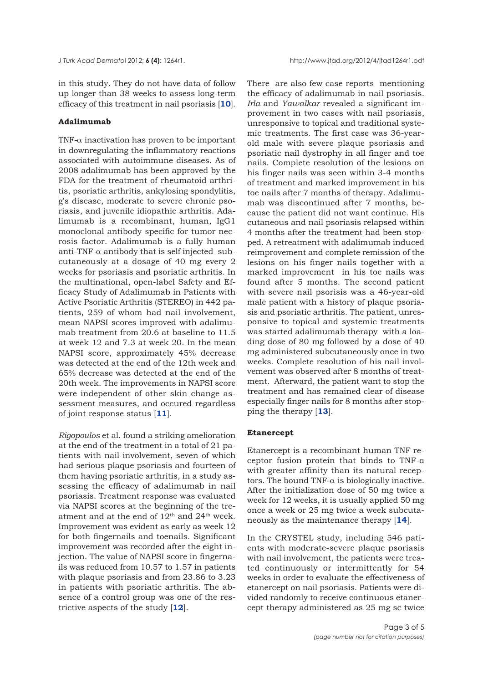in this study. They do not have data of follow up longer than 38 weeks to assess long-term efficacy of this treatment in nail psoriasis [**[10](#page-4-0)**].

#### **Adalimumab**

TNF- $\alpha$  inactivation has proven to be important in downregulating the inflammatory reactions associated with autoimmune diseases. As of 2008 adalimumab has been approved by the FDA for the treatment of rheumatoid arthritis, psoriatic arthritis, ankylosing spondylitis, g's disease, moderate to severe chronic psoriasis, and juvenile idiopathic arthritis. Adalimumab is a recombinant, human, IgG1 monoclonal antibody specific for tumor necrosis factor. Adalimumab is a fully human anti-TNF- $\alpha$  antibody that is self injected subcutaneously at a dosage of 40 mg every 2 weeks for psoriasis and psoriatic arthritis. In the multinational, open-label Safety and Efficacy Study of Adalimumab in Patients with Active Psoriatic Arthritis (STEREO) in 442 patients, 259 of whom had nail involvement, mean NAPSI scores improved with adalimumab treatment from 20.6 at baseline to 11.5 at week 12 and 7.3 at week 20. In the mean NAPSI score, approximately 45% decrease was detected at the end of the 12th week and 65% decrease was detected at the end of the 20th week. The improvements in NAPSI score were independent of other skin change assessment measures, and occured regardless of joint response status [**[11](#page-4-0)**].

*Rigopoulos* et al. found a striking amelioration at the end of the treatment in a total of 21 patients with nail involvement, seven of which had serious plaque psoriasis and fourteen of them having psoriatic arthritis, in a study assessing the efficacy of adalimumab in nail psoriasis. Treatment response was evaluated via NAPSI scores at the beginning of the treatment and at the end of  $12<sup>th</sup>$  and  $24<sup>th</sup>$  week. Improvement was evident as early as week 12 for both fingernails and toenails. Significant improvement was recorded after the eight injection. The value of NAPSI score in fingernails was reduced from 10.57 to 1.57 in patients with plaque psoriasis and from 23.86 to 3.23 in patients with psoriatic arthritis. The absence of a control group was one of the restrictive aspects of the study [**[12](#page-4-0)**].

There are also few case reports mentioning the efficacy of adalimumab in nail psoriasis. *Irla* and *Yawalkar* revealed a significant improvement in two cases with nail psoriasis, unresponsive to topical and traditional systemic treatments. The first case was 36-yearold male with severe plaque psoriasis and psoriatic nail dystrophy in all finger and toe nails. Complete resolution of the lesions on his finger nails was seen within 3-4 months of treatment and marked improvement in his toe nails after 7 months of therapy. Adalimumab was discontinued after 7 months, because the patient did not want continue. His cutaneous and nail psoriasis relapsed within 4 months after the treatment had been stopped. A retreatment with adalimumab induced reimprovement and complete remission of the lesions on his finger nails together with a marked improvement in his toe nails was found after 5 months. The second patient with severe nail psorisis was a 46-year-old male patient with a history of plaque psoriasis and psoriatic arthritis. The patient, unresponsive to topical and systemic treatments was started adalimumab therapy with a loading dose of 80 mg followed by a dose of 40 mg administered subcutaneously once in two weeks. Complete resolution of his nail involvement was observed after 8 months of treatment. Afterward, the patient want to stop the treatment and has remained clear of disease especially finger nails for 8 months after stopping the therapy [**[13](#page-4-0)**].

## **Etanercept**

Etanercept is a recombinant human TNF receptor fusion protein that binds to TNF-α with greater affinity than its natural receptors. The bound TNF-α is biologically inactive. After the initialization dose of 50 mg twice a week for 12 weeks, it is usually applied 50 mg once a week or 25 mg twice a week subcutaneously as the maintenance therapy [**[14](#page-4-0)**].

In the CRYSTEL study, including 546 patients with moderate-severe plaque psoriasis with nail involvement, the patients were treated continuously or intermittently for 54 weeks in order to evaluate the effectiveness of etanercept on nail psoriasis. Patients were divided randomly to receive continuous etanercept therapy administered as 25 mg sc twice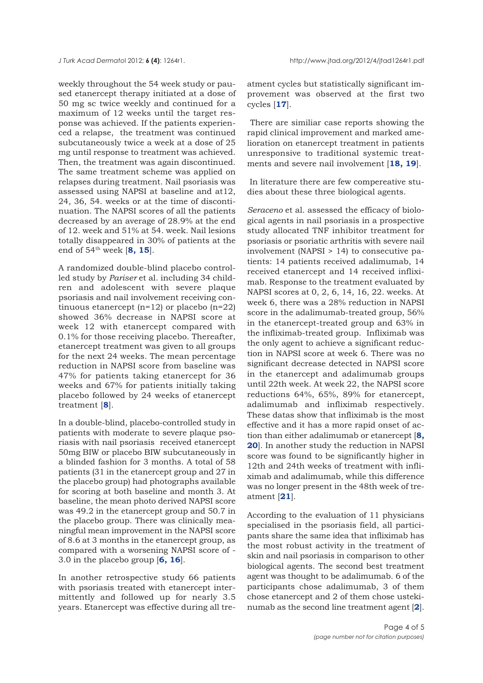weekly throughout the 54 week study or paused etanercept therapy initiated at a dose of 50 mg sc twice weekly and continued for a maximum of 12 weeks until the target response was achieved. If the patients experienced a relapse, the treatment was continued subcutaneously twice a week at a dose of 25 mg until response to treatment was achieved. Then, the treatment was again discontinued. The same treatment scheme was applied on relapses during treatment. Nail psoriasis was assessed using NAPSI at baseline and at12, 24, 36, 54. weeks or at the time of discontinuation. The NAPSI scores of all the patients decreased by an average of 28.9% at the end of 12. week and 51% at 54. week. Nail lesions totally disappeared in 30% of patients at the end of 54th week [**[8, 15](#page-4-0)**].

A randomized double-blind placebo controlled study by *Pariser* et al. including 34 children and adolescent with severe plaque psoriasis and nail involvement receiving continuous etanercept (n=12) or placebo (n=22) showed 36% decrease in NAPSI score at week 12 with etanercept compared with 0.1% for those receiving placebo. Thereafter, etanercept treatment was given to all groups for the next 24 weeks. The mean percentage reduction in NAPSI score from baseline was 47% for patients taking etanercept for 36 weeks and 67% for patients initially taking placebo followed by 24 weeks of etanercept treatment [**[8](#page-4-0)**].

In a double-blind, placebo-controlled study in patients with moderate to severe plaque psoriasis with nail psoriasis received etanercept 50mg BIW or placebo BIW subcutaneously in a blinded fashion for 3 months. A total of 58 patients (31 in the etanercept group and 27 in the placebo group) had photographs available for scoring at both baseline and month 3. At baseline, the mean photo derived NAPSI score was 49.2 in the etanercept group and 50.7 in the placebo group. There was clinically meaningful mean improvement in the NAPSI score of 8.6 at 3 months in the etanercept group, as compared with a worsening NAPSI score of - 3.0 in the placebo group [**[6, 16](#page-4-0)**].

In another retrospective study 66 patients with psoriasis treated with etanercept intermittently and followed up for nearly 3.5 years. Etanercept was effective during all treatment cycles but statistically significant improvement was observed at the first two cycles [**[17](#page-4-0)**].

There are similiar case reports showing the rapid clinical improvement and marked amelioration on etanercept treatment in patients unresponsive to traditional systemic treatments and severe nail involvement [**[18, 19](#page-4-0)**].

In literature there are few compereative studies about these three biological agents.

*Seraceno* et al. assessed the efficacy of biological agents in nail psoriasis in a prospective study allocated TNF inhibitor treatment for psoriasis or psoriatic arthritis with severe nail involvement (NAPSI > 14) to consecutive patients: 14 patients received adalimumab, 14 received etanercept and 14 received infliximab. Response to the treatment evaluated by NAPSI scores at 0, 2, 6, 14, 16, 22. weeks. At week 6, there was a 28% reduction in NAPSI score in the adalimumab-treated group, 56% in the etanercept-treated group and 63% in the infliximab-treated group. Infliximab was the only agent to achieve a significant reduction in NAPSI score at week 6. There was no significant decrease detected in NAPSI score in the etanercept and adalimumab groups until 22th week. At week 22, the NAPSI score reductions 64%, 65%, 89% for etanercept, adalimumab and infliximab respectively. These datas show that infliximab is the most effective and it has a more rapid onset of action than either adalimumab or etanercept [**[8,](#page-4-0) [20](#page-4-0)**]. In another study the reduction in NAPSI score was found to be significantly higher in 12th and 24th weeks of treatment with infliximab and adalimumab, while this difference was no longer present in the 48th week of treatment [**[21](#page-4-0)**].

According to the evaluation of 11 physicians specialised in the psoriasis field, all participants share the same idea that infliximab has the most robust activity in the treatment of skin and nail psoriasis in comparison to other biological agents. The second best treatment agent was thought to be adalimumab. 6 of the participants chose adalimumab, 3 of them chose etanercept and 2 of them chose ustekinumab as the second line treatment agent [**[2](#page-4-0)**].